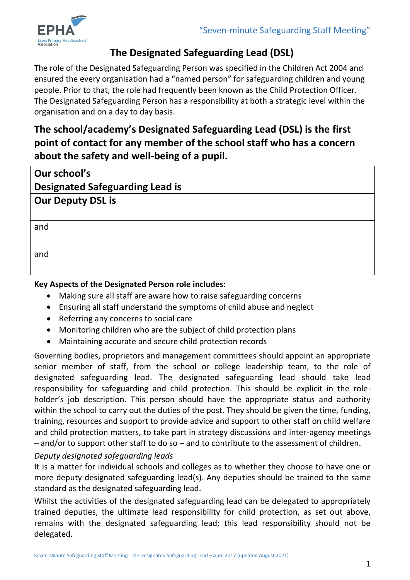

# **The Designated Safeguarding Lead (DSL)**

The role of the Designated Safeguarding Person was specified in the Children Act 2004 and ensured the every organisation had a "named person" for safeguarding children and young people. Prior to that, the role had frequently been known as the Child Protection Officer. The Designated Safeguarding Person has a responsibility at both a strategic level within the organisation and on a day to day basis.

**The school/academy's Designated Safeguarding Lead (DSL) is the first point of contact for any member of the school staff who has a concern about the safety and well-being of a pupil.** 

| Our school's                           |
|----------------------------------------|
| <b>Designated Safeguarding Lead is</b> |
| <b>Our Deputy DSL is</b>               |
|                                        |
| and                                    |
|                                        |
| and                                    |
|                                        |

# **Key Aspects of the Designated Person role includes:**

- Making sure all staff are aware how to raise safeguarding concerns
- Ensuring all staff understand the symptoms of child abuse and neglect
- Referring any concerns to social care
- Monitoring children who are the subject of child protection plans
- Maintaining accurate and secure child protection records

Governing bodies, proprietors and management committees should appoint an appropriate senior member of staff, from the school or college leadership team, to the role of designated safeguarding lead. The designated safeguarding lead should take lead responsibility for safeguarding and child protection. This should be explicit in the roleholder's job description. This person should have the appropriate status and authority within the school to carry out the duties of the post. They should be given the time, funding, training, resources and support to provide advice and support to other staff on child welfare and child protection matters, to take part in strategy discussions and inter-agency meetings – and/or to support other staff to do so – and to contribute to the assessment of children.

## *Deputy designated safeguarding leads*

It is a matter for individual schools and colleges as to whether they choose to have one or more deputy designated safeguarding lead(s). Any deputies should be trained to the same standard as the designated safeguarding lead.

Whilst the activities of the designated safeguarding lead can be delegated to appropriately trained deputies, the ultimate lead responsibility for child protection, as set out above, remains with the designated safeguarding lead; this lead responsibility should not be delegated.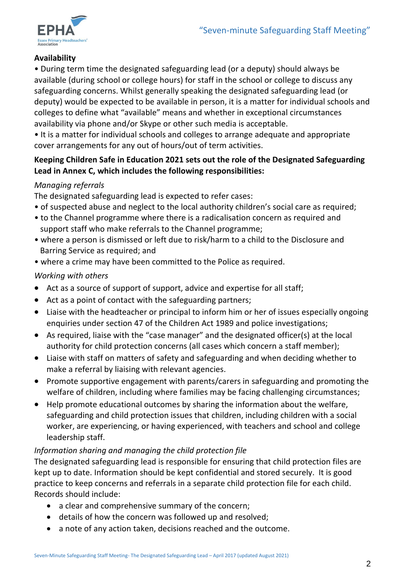

## **Availability**

• During term time the designated safeguarding lead (or a deputy) should always be available (during school or college hours) for staff in the school or college to discuss any safeguarding concerns. Whilst generally speaking the designated safeguarding lead (or deputy) would be expected to be available in person, it is a matter for individual schools and colleges to define what "available" means and whether in exceptional circumstances availability via phone and/or Skype or other such media is acceptable.

• It is a matter for individual schools and colleges to arrange adequate and appropriate cover arrangements for any out of hours/out of term activities.

## **Keeping Children Safe in Education 2021 sets out the role of the Designated Safeguarding Lead in Annex C, which includes the following responsibilities:**

## *Managing referrals*

The designated safeguarding lead is expected to refer cases:

- of suspected abuse and neglect to the local authority children's social care as required;
- to the Channel programme where there is a radicalisation concern as required and support staff who make referrals to the Channel programme;
- where a person is dismissed or left due to risk/harm to a child to the Disclosure and Barring Service as required; and
- where a crime may have been committed to the Police as required.

## *Working with others*

- Act as a source of support of support, advice and expertise for all staff;
- Act as a point of contact with the safeguarding partners;
- Liaise with the headteacher or principal to inform him or her of issues especially ongoing enquiries under section 47 of the Children Act 1989 and police investigations;
- As required, liaise with the "case manager" and the designated officer(s) at the local authority for child protection concerns (all cases which concern a staff member);
- Liaise with staff on matters of safety and safeguarding and when deciding whether to make a referral by liaising with relevant agencies.
- Promote supportive engagement with parents/carers in safeguarding and promoting the welfare of children, including where families may be facing challenging circumstances;
- Help promote educational outcomes by sharing the information about the welfare, safeguarding and child protection issues that children, including children with a social worker, are experiencing, or having experienced, with teachers and school and college leadership staff.

#### *Information sharing and managing the child protection file*

The designated safeguarding lead is responsible for ensuring that child protection files are kept up to date. Information should be kept confidential and stored securely. It is good practice to keep concerns and referrals in a separate child protection file for each child. Records should include:

- a clear and comprehensive summary of the concern;
- details of how the concern was followed up and resolved;
- a note of any action taken, decisions reached and the outcome.